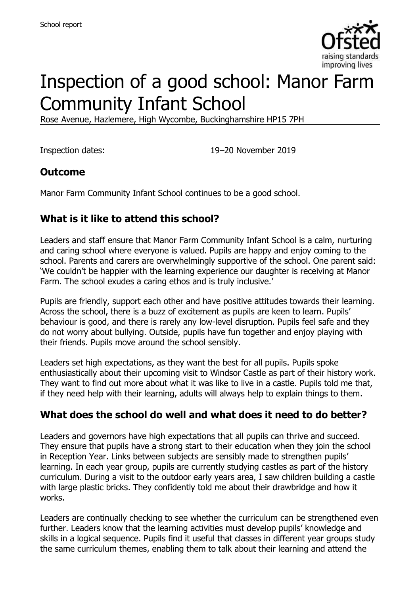

# Inspection of a good school: Manor Farm Community Infant School

Rose Avenue, Hazlemere, High Wycombe, Buckinghamshire HP15 7PH

Inspection dates: 19–20 November 2019

## **Outcome**

Manor Farm Community Infant School continues to be a good school.

## **What is it like to attend this school?**

Leaders and staff ensure that Manor Farm Community Infant School is a calm, nurturing and caring school where everyone is valued. Pupils are happy and enjoy coming to the school. Parents and carers are overwhelmingly supportive of the school. One parent said: 'We couldn't be happier with the learning experience our daughter is receiving at Manor Farm. The school exudes a caring ethos and is truly inclusive.'

Pupils are friendly, support each other and have positive attitudes towards their learning. Across the school, there is a buzz of excitement as pupils are keen to learn. Pupils' behaviour is good, and there is rarely any low-level disruption. Pupils feel safe and they do not worry about bullying. Outside, pupils have fun together and enjoy playing with their friends. Pupils move around the school sensibly.

Leaders set high expectations, as they want the best for all pupils. Pupils spoke enthusiastically about their upcoming visit to Windsor Castle as part of their history work. They want to find out more about what it was like to live in a castle. Pupils told me that, if they need help with their learning, adults will always help to explain things to them.

## **What does the school do well and what does it need to do better?**

Leaders and governors have high expectations that all pupils can thrive and succeed. They ensure that pupils have a strong start to their education when they join the school in Reception Year. Links between subjects are sensibly made to strengthen pupils' learning. In each year group, pupils are currently studying castles as part of the history curriculum. During a visit to the outdoor early years area, I saw children building a castle with large plastic bricks. They confidently told me about their drawbridge and how it works.

Leaders are continually checking to see whether the curriculum can be strengthened even further. Leaders know that the learning activities must develop pupils' knowledge and skills in a logical sequence. Pupils find it useful that classes in different year groups study the same curriculum themes, enabling them to talk about their learning and attend the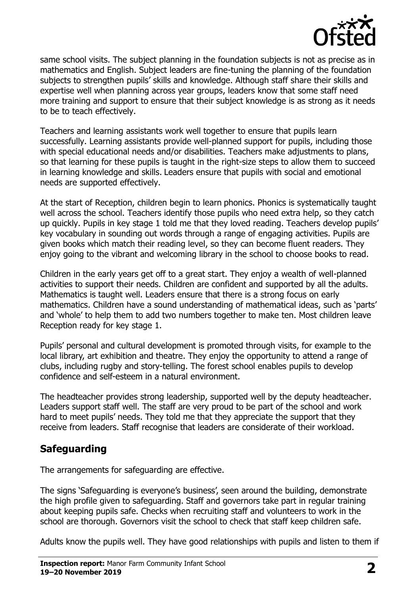

same school visits. The subject planning in the foundation subjects is not as precise as in mathematics and English. Subject leaders are fine-tuning the planning of the foundation subjects to strengthen pupils' skills and knowledge. Although staff share their skills and expertise well when planning across year groups, leaders know that some staff need more training and support to ensure that their subject knowledge is as strong as it needs to be to teach effectively.

Teachers and learning assistants work well together to ensure that pupils learn successfully. Learning assistants provide well-planned support for pupils, including those with special educational needs and/or disabilities. Teachers make adjustments to plans, so that learning for these pupils is taught in the right-size steps to allow them to succeed in learning knowledge and skills. Leaders ensure that pupils with social and emotional needs are supported effectively.

At the start of Reception, children begin to learn phonics. Phonics is systematically taught well across the school. Teachers identify those pupils who need extra help, so they catch up quickly. Pupils in key stage 1 told me that they loved reading. Teachers develop pupils' key vocabulary in sounding out words through a range of engaging activities. Pupils are given books which match their reading level, so they can become fluent readers. They enjoy going to the vibrant and welcoming library in the school to choose books to read.

Children in the early years get off to a great start. They enjoy a wealth of well-planned activities to support their needs. Children are confident and supported by all the adults. Mathematics is taught well. Leaders ensure that there is a strong focus on early mathematics. Children have a sound understanding of mathematical ideas, such as 'parts' and 'whole' to help them to add two numbers together to make ten. Most children leave Reception ready for key stage 1.

Pupils' personal and cultural development is promoted through visits, for example to the local library, art exhibition and theatre. They enjoy the opportunity to attend a range of clubs, including rugby and story-telling. The forest school enables pupils to develop confidence and self-esteem in a natural environment.

The headteacher provides strong leadership, supported well by the deputy headteacher. Leaders support staff well. The staff are very proud to be part of the school and work hard to meet pupils' needs. They told me that they appreciate the support that they receive from leaders. Staff recognise that leaders are considerate of their workload.

#### **Safeguarding**

The arrangements for safeguarding are effective.

The signs 'Safeguarding is everyone's business', seen around the building, demonstrate the high profile given to safeguarding. Staff and governors take part in regular training about keeping pupils safe. Checks when recruiting staff and volunteers to work in the school are thorough. Governors visit the school to check that staff keep children safe.

Adults know the pupils well. They have good relationships with pupils and listen to them if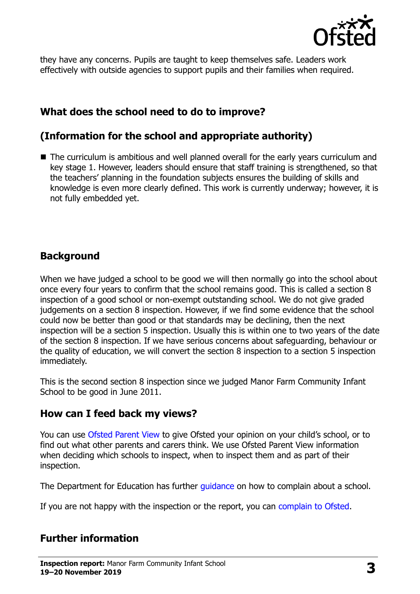

they have any concerns. Pupils are taught to keep themselves safe. Leaders work effectively with outside agencies to support pupils and their families when required.

## **What does the school need to do to improve?**

#### **(Information for the school and appropriate authority)**

■ The curriculum is ambitious and well planned overall for the early years curriculum and key stage 1. However, leaders should ensure that staff training is strengthened, so that the teachers' planning in the foundation subjects ensures the building of skills and knowledge is even more clearly defined. This work is currently underway; however, it is not fully embedded yet.

### **Background**

When we have judged a school to be good we will then normally go into the school about once every four years to confirm that the school remains good. This is called a section 8 inspection of a good school or non-exempt outstanding school. We do not give graded judgements on a section 8 inspection. However, if we find some evidence that the school could now be better than good or that standards may be declining, then the next inspection will be a section 5 inspection. Usually this is within one to two years of the date of the section 8 inspection. If we have serious concerns about safeguarding, behaviour or the quality of education, we will convert the section 8 inspection to a section 5 inspection immediately.

This is the second section 8 inspection since we judged Manor Farm Community Infant School to be good in June 2011.

#### **How can I feed back my views?**

You can use [Ofsted Parent View](https://parentview.ofsted.gov.uk/) to give Ofsted your opinion on your child's school, or to find out what other parents and carers think. We use Ofsted Parent View information when deciding which schools to inspect, when to inspect them and as part of their inspection.

The Department for Education has further quidance on how to complain about a school.

If you are not happy with the inspection or the report, you can [complain to Ofsted.](https://www.gov.uk/complain-ofsted-report)

## **Further information**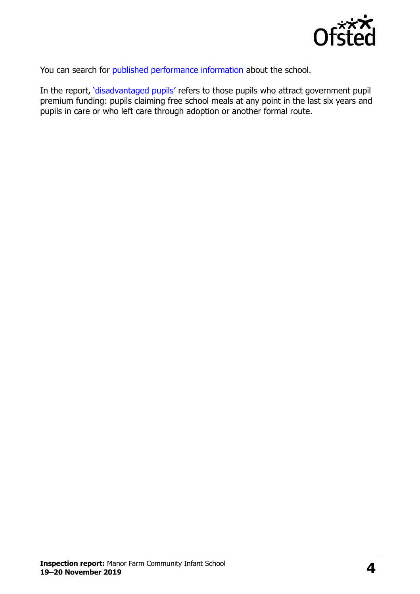

You can search for [published performance information](http://www.compare-school-performance.service.gov.uk/) about the school.

In the report, '[disadvantaged pupils](http://www.gov.uk/guidance/pupil-premium-information-for-schools-and-alternative-provision-settings)' refers to those pupils who attract government pupil premium funding: pupils claiming free school meals at any point in the last six years and pupils in care or who left care through adoption or another formal route.

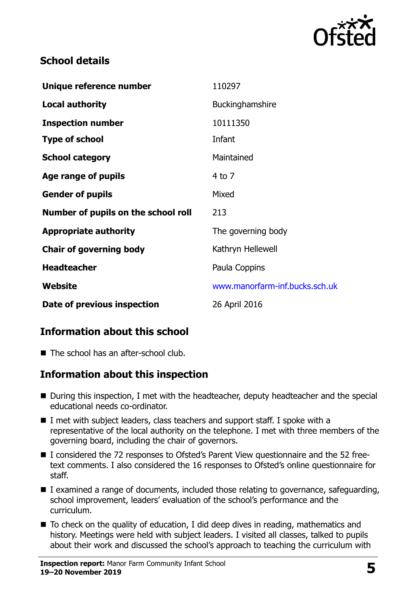

### **School details**

| Unique reference number             | 110297                         |
|-------------------------------------|--------------------------------|
| <b>Local authority</b>              | Buckinghamshire                |
| <b>Inspection number</b>            | 10111350                       |
| <b>Type of school</b>               | Infant                         |
| <b>School category</b>              | Maintained                     |
| Age range of pupils                 | $4$ to $7$                     |
| <b>Gender of pupils</b>             | Mixed                          |
| Number of pupils on the school roll | 213                            |
| <b>Appropriate authority</b>        | The governing body             |
| <b>Chair of governing body</b>      | Kathryn Hellewell              |
| <b>Headteacher</b>                  | Paula Coppins                  |
| Website                             | www.manorfarm-inf.bucks.sch.uk |
| Date of previous inspection         | 26 April 2016                  |

## **Information about this school**

■ The school has an after-school club.

## **Information about this inspection**

- During this inspection, I met with the headteacher, deputy headteacher and the special educational needs co-ordinator.
- I met with subject leaders, class teachers and support staff. I spoke with a representative of the local authority on the telephone. I met with three members of the governing board, including the chair of governors.
- I considered the 72 responses to Ofsted's Parent View questionnaire and the 52 freetext comments. I also considered the 16 responses to Ofsted's online questionnaire for staff.
- $\blacksquare$  I examined a range of documents, included those relating to governance, safeguarding, school improvement, leaders' evaluation of the school's performance and the curriculum.
- To check on the quality of education, I did deep dives in reading, mathematics and history. Meetings were held with subject leaders. I visited all classes, talked to pupils about their work and discussed the school's approach to teaching the curriculum with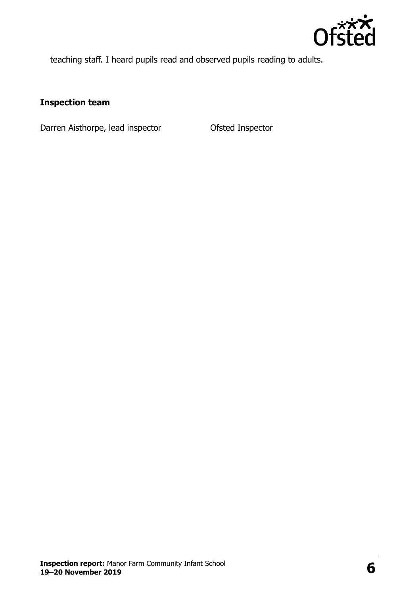

teaching staff. I heard pupils read and observed pupils reading to adults.

#### **Inspection team**

Darren Aisthorpe, lead inspector **Ofsted Inspector**